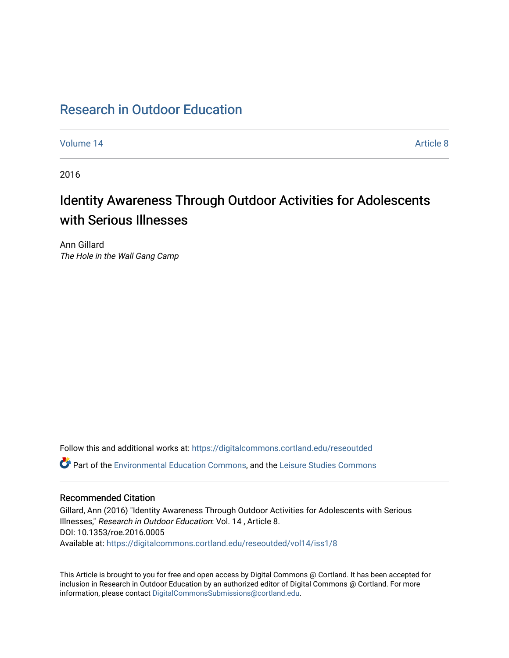## [Research in Outdoor Education](https://digitalcommons.cortland.edu/reseoutded)

[Volume 14](https://digitalcommons.cortland.edu/reseoutded/vol14) Article 8

2016

# Identity Awareness Through Outdoor Activities for Adolescents with Serious Illnesses

Ann Gillard The Hole in the Wall Gang Camp

Follow this and additional works at: [https://digitalcommons.cortland.edu/reseoutded](https://digitalcommons.cortland.edu/reseoutded?utm_source=digitalcommons.cortland.edu%2Freseoutded%2Fvol14%2Fiss1%2F8&utm_medium=PDF&utm_campaign=PDFCoverPages) Part of the [Environmental Education Commons](http://network.bepress.com/hgg/discipline/1305?utm_source=digitalcommons.cortland.edu%2Freseoutded%2Fvol14%2Fiss1%2F8&utm_medium=PDF&utm_campaign=PDFCoverPages), and the [Leisure Studies Commons](http://network.bepress.com/hgg/discipline/1197?utm_source=digitalcommons.cortland.edu%2Freseoutded%2Fvol14%2Fiss1%2F8&utm_medium=PDF&utm_campaign=PDFCoverPages) 

## Recommended Citation

Gillard, Ann (2016) "Identity Awareness Through Outdoor Activities for Adolescents with Serious Illnesses," Research in Outdoor Education: Vol. 14 , Article 8. DOI: 10.1353/roe.2016.0005 Available at: [https://digitalcommons.cortland.edu/reseoutded/vol14/iss1/8](https://digitalcommons.cortland.edu/reseoutded/vol14/iss1/8?utm_source=digitalcommons.cortland.edu%2Freseoutded%2Fvol14%2Fiss1%2F8&utm_medium=PDF&utm_campaign=PDFCoverPages) 

This Article is brought to you for free and open access by Digital Commons @ Cortland. It has been accepted for inclusion in Research in Outdoor Education by an authorized editor of Digital Commons @ Cortland. For more information, please contact [DigitalCommonsSubmissions@cortland.edu](mailto:DigitalCommonsSubmissions@cortland.edu).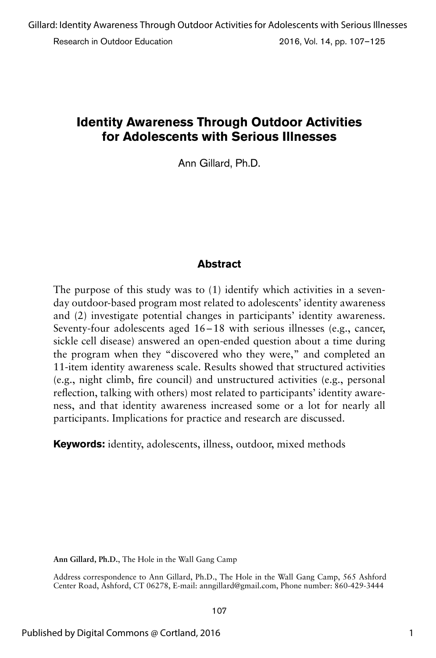## **Identity Awareness Through Outdoor Activities for Adolescents with Serious Illnesses**

Ann Gillard, Ph.D.

## **Abstract**

The purpose of this study was to (1) identify which activities in a sevenday outdoor-based program most related to adolescents' identity awareness and (2) investigate potential changes in participants' identity awareness. Seventy-four adolescents aged 16–18 with serious illnesses (e.g., cancer, sickle cell disease) answered an open-ended question about a time during the program when they "discovered who they were," and completed an 11-item identity awareness scale. Results showed that structured activities (e.g., night climb, fire council) and unstructured activities (e.g., personal reflection, talking with others) most related to participants' identity awareness, and that identity awareness increased some or a lot for nearly all participants. Implications for practice and research are discussed.

**Keywords:** identity, adolescents, illness, outdoor, mixed methods

**Ann Gillard, Ph.D.**, The Hole in the Wall Gang Camp

Address correspondence to Ann Gillard, Ph.D., The Hole in the Wall Gang Camp, 565 Ashford Center Road, Ashford, CT 06278, E-mail: anngillard@gmail.com, Phone number: 860-429-3444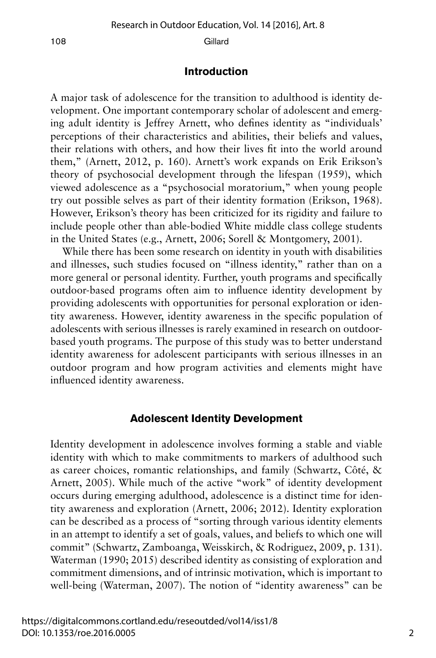#### **Introduction**

A major task of adolescence for the transition to adulthood is identity development. One important contemporary scholar of adolescent and emerging adult identity is Jeffrey Arnett, who defines identity as "individuals' perceptions of their characteristics and abilities, their beliefs and values, their relations with others, and how their lives fit into the world around them," (Arnett, 2012, p. 160). Arnett's work expands on Erik Erikson's theory of psychosocial development through the lifespan (1959), which viewed adolescence as a "psychosocial moratorium," when young people try out possible selves as part of their identity formation (Erikson, 1968). However, Erikson's theory has been criticized for its rigidity and failure to include people other than able-bodied White middle class college students in the United States (e.g., Arnett, 2006; Sorell & Montgomery, 2001).

While there has been some research on identity in youth with disabilities and illnesses, such studies focused on "illness identity," rather than on a more general or personal identity. Further, youth programs and specifically outdoor-based programs often aim to influence identity development by providing adolescents with opportunities for personal exploration or identity awareness. However, identity awareness in the specific population of adolescents with serious illnesses is rarely examined in research on outdoorbased youth programs. The purpose of this study was to better understand identity awareness for adolescent participants with serious illnesses in an outdoor program and how program activities and elements might have influenced identity awareness.

#### **Adolescent Identity Development**

Identity development in adolescence involves forming a stable and viable identity with which to make commitments to markers of adulthood such as career choices, romantic relationships, and family (Schwartz, Côté, & Arnett, 2005). While much of the active "work" of identity development occurs during emerging adulthood, adolescence is a distinct time for identity awareness and exploration (Arnett, 2006; 2012). Identity exploration can be described as a process of "sorting through various identity elements in an attempt to identify a set of goals, values, and beliefs to which one will commit" (Schwartz, Zamboanga, Weisskirch, & Rodriguez, 2009, p. 131). Waterman (1990; 2015) described identity as consisting of exploration and commitment dimensions, and of intrinsic motivation, which is important to well-being (Waterman, 2007). The notion of "identity awareness" can be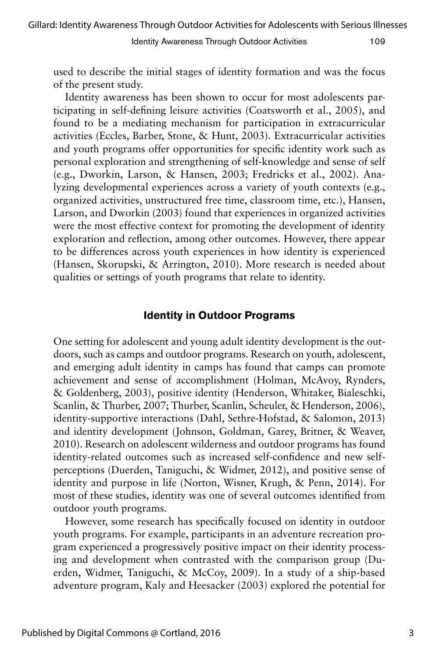used to describe the initial stages of identity formation and was the focus of the present study.

Identity awareness has been shown to occur for most adolescents participating in self-defining leisure activities (Coatsworth et al., 2005), and found to be a mediating mechanism for participation in extracurricular activities (Eccles, Barber, Stone, & Hunt, 2003). Extracurricular activities and youth programs offer opportunities for specific identity work such as personal exploration and strengthening of self-knowledge and sense of self (e.g., Dworkin, Larson, & Hansen, 2003; Fredricks et al., 2002). Analyzing developmental experiences across a variety of youth contexts (e.g., organized activities, unstructured free time, classroom time, etc.), Hansen, Larson, and Dworkin (2003) found that experiences in organized activities were the most effective context for promoting the development of identity exploration and reflection, among other outcomes. However, there appear to be differences across youth experiences in how identity is experienced (Hansen, Skorupski, & Arrington, 2010). More research is needed about qualities or settings of youth programs that relate to identity.

## **Identity in Outdoor Programs**

One setting for adolescent and young adult identity development is the outdoors, such as camps and outdoor programs. Research on youth, adolescent, and emerging adult identity in camps has found that camps can promote achievement and sense of accomplishment (Holman, McAvoy, Rynders, & Goldenberg, 2003), positive identity (Henderson, Whitaker, Bialeschki, Scanlin, & Thurber, 2007; Thurber, Scanlin, Scheuler, & Henderson, 2006), identity-supportive interactions (Dahl, Sethre-Hofstad, & Salomon, 2013) and identity development (Johnson, Goldman, Garey, Britner, & Weaver, 2010). Research on adolescent wilderness and outdoor programs has found identity-related outcomes such as increased self-confidence and new selfperceptions (Duerden, Taniguchi, & Widmer, 2012), and positive sense of identity and purpose in life (Norton, Wisner, Krugh, & Penn, 2014). For most of these studies, identity was one of several outcomes identified from outdoor youth programs.

However, some research has specifically focused on identity in outdoor youth programs. For example, participants in an adventure recreation program experienced a progressively positive impact on their identity processing and development when contrasted with the comparison group (Duerden, Widmer, Taniguchi, & McCoy, 2009). In a study of a ship-based adventure program, Kaly and Heesacker (2003) explored the potential for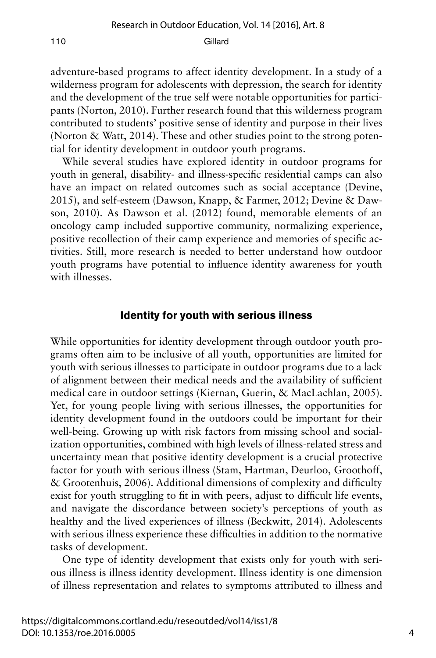adventure-based programs to affect identity development. In a study of a wilderness program for adolescents with depression, the search for identity and the development of the true self were notable opportunities for participants (Norton, 2010). Further research found that this wilderness program contributed to students' positive sense of identity and purpose in their lives (Norton & Watt, 2014). These and other studies point to the strong potential for identity development in outdoor youth programs.

While several studies have explored identity in outdoor programs for youth in general, disability- and illness-specific residential camps can also have an impact on related outcomes such as social acceptance (Devine, 2015), and self-esteem (Dawson, Knapp, & Farmer, 2012; Devine & Dawson, 2010). As Dawson et al. (2012) found, memorable elements of an oncology camp included supportive community, normalizing experience, positive recollection of their camp experience and memories of specific activities. Still, more research is needed to better understand how outdoor youth programs have potential to influence identity awareness for youth with illnesses.

#### **Identity for youth with serious illness**

While opportunities for identity development through outdoor youth programs often aim to be inclusive of all youth, opportunities are limited for youth with serious illnesses to participate in outdoor programs due to a lack of alignment between their medical needs and the availability of sufficient medical care in outdoor settings (Kiernan, Guerin, & MacLachlan, 2005). Yet, for young people living with serious illnesses, the opportunities for identity development found in the outdoors could be important for their well-being. Growing up with risk factors from missing school and socialization opportunities, combined with high levels of illness-related stress and uncertainty mean that positive identity development is a crucial protective factor for youth with serious illness (Stam, Hartman, Deurloo, Groothoff, & Grootenhuis, 2006). Additional dimensions of complexity and difficulty exist for youth struggling to fit in with peers, adjust to difficult life events, and navigate the discordance between society's perceptions of youth as healthy and the lived experiences of illness (Beckwitt, 2014). Adolescents with serious illness experience these difficulties in addition to the normative tasks of development.

One type of identity development that exists only for youth with serious illness is illness identity development. Illness identity is one dimension of illness representation and relates to symptoms attributed to illness and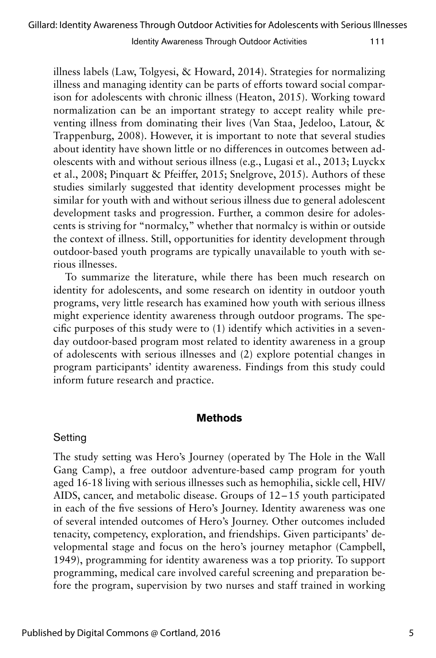illness labels (Law, Tolgyesi, & Howard, 2014). Strategies for normalizing illness and managing identity can be parts of efforts toward social comparison for adolescents with chronic illness (Heaton, 2015). Working toward normalization can be an important strategy to accept reality while preventing illness from dominating their lives (Van Staa, Jedeloo, Latour, & Trappenburg, 2008). However, it is important to note that several studies about identity have shown little or no differences in outcomes between adolescents with and without serious illness (e.g., Lugasi et al., 2013; Luyckx et al., 2008; Pinquart & Pfeiffer, 2015; Snelgrove, 2015). Authors of these studies similarly suggested that identity development processes might be similar for youth with and without serious illness due to general adolescent development tasks and progression. Further, a common desire for adolescents is striving for "normalcy," whether that normalcy is within or outside the context of illness. Still, opportunities for identity development through outdoor-based youth programs are typically unavailable to youth with serious illnesses.

To summarize the literature, while there has been much research on identity for adolescents, and some research on identity in outdoor youth programs, very little research has examined how youth with serious illness might experience identity awareness through outdoor programs. The specific purposes of this study were to (1) identify which activities in a sevenday outdoor-based program most related to identity awareness in a group of adolescents with serious illnesses and (2) explore potential changes in program participants' identity awareness. Findings from this study could inform future research and practice.

### **Methods**

## Setting

The study setting was Hero's Journey (operated by The Hole in the Wall Gang Camp), a free outdoor adventure-based camp program for youth aged 16-18 living with serious illnesses such as hemophilia, sickle cell, HIV/ AIDS, cancer, and metabolic disease. Groups of 12–15 youth participated in each of the five sessions of Hero's Journey. Identity awareness was one of several intended outcomes of Hero's Journey. Other outcomes included tenacity, competency, exploration, and friendships. Given participants' developmental stage and focus on the hero's journey metaphor (Campbell, 1949), programming for identity awareness was a top priority. To support programming, medical care involved careful screening and preparation before the program, supervision by two nurses and staff trained in working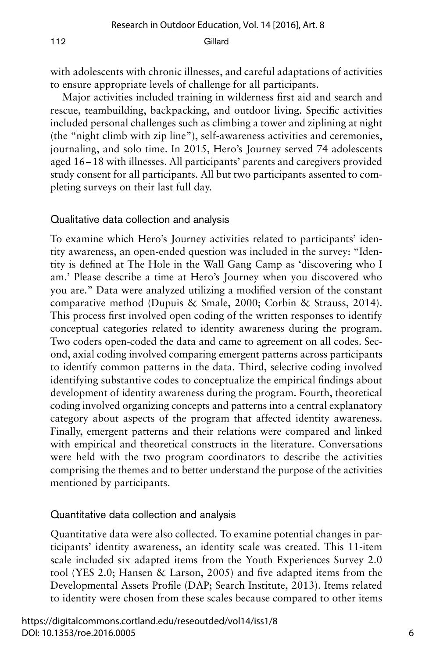with adolescents with chronic illnesses, and careful adaptations of activities to ensure appropriate levels of challenge for all participants.

Major activities included training in wilderness first aid and search and rescue, teambuilding, backpacking, and outdoor living. Specific activities included personal challenges such as climbing a tower and ziplining at night (the "night climb with zip line"), self-awareness activities and ceremonies, journaling, and solo time. In 2015, Hero's Journey served 74 adolescents aged 16–18 with illnesses. All participants' parents and caregivers provided study consent for all participants. All but two participants assented to completing surveys on their last full day.

#### Qualitative data collection and analysis

To examine which Hero's Journey activities related to participants' identity awareness, an open-ended question was included in the survey: "Identity is defined at The Hole in the Wall Gang Camp as 'discovering who I am.' Please describe a time at Hero's Journey when you discovered who you are." Data were analyzed utilizing a modified version of the constant comparative method (Dupuis & Smale, 2000; Corbin & Strauss, 2014). This process first involved open coding of the written responses to identify conceptual categories related to identity awareness during the program. Two coders open-coded the data and came to agreement on all codes. Second, axial coding involved comparing emergent patterns across participants to identify common patterns in the data. Third, selective coding involved identifying substantive codes to conceptualize the empirical findings about development of identity awareness during the program. Fourth, theoretical coding involved organizing concepts and patterns into a central explanatory category about aspects of the program that affected identity awareness. Finally, emergent patterns and their relations were compared and linked with empirical and theoretical constructs in the literature. Conversations were held with the two program coordinators to describe the activities comprising the themes and to better understand the purpose of the activities mentioned by participants.

#### Quantitative data collection and analysis

Quantitative data were also collected. To examine potential changes in participants' identity awareness, an identity scale was created. This 11-item scale included six adapted items from the Youth Experiences Survey 2.0 tool (YES 2.0; Hansen & Larson, 2005) and five adapted items from the Developmental Assets Profile (DAP; Search Institute, 2013). Items related to identity were chosen from these scales because compared to other items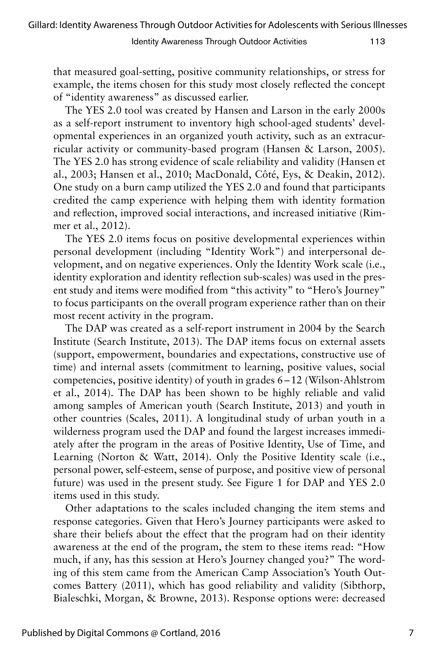that measured goal-setting, positive community relationships, or stress for example, the items chosen for this study most closely reflected the concept of "identity awareness" as discussed earlier.

The YES 2.0 tool was created by Hansen and Larson in the early 2000s as a self-report instrument to inventory high school-aged students' developmental experiences in an organized youth activity, such as an extracurricular activity or community-based program (Hansen & Larson, 2005). The YES 2.0 has strong evidence of scale reliability and validity (Hansen et al., 2003; Hansen et al., 2010; MacDonald, Côté, Eys, & Deakin, 2012). One study on a burn camp utilized the YES 2.0 and found that participants credited the camp experience with helping them with identity formation and reflection, improved social interactions, and increased initiative (Rimmer et al., 2012).

The YES 2.0 items focus on positive developmental experiences within personal development (including "Identity Work") and interpersonal development, and on negative experiences. Only the Identity Work scale (i.e., identity exploration and identity reflection sub-scales) was used in the present study and items were modified from "this activity" to "Hero's Journey" to focus participants on the overall program experience rather than on their most recent activity in the program.

The DAP was created as a self-report instrument in 2004 by the Search Institute (Search Institute, 2013). The DAP items focus on external assets (support, empowerment, boundaries and expectations, constructive use of time) and internal assets (commitment to learning, positive values, social competencies, positive identity) of youth in grades 6–12 (Wilson-Ahlstrom et al., 2014). The DAP has been shown to be highly reliable and valid among samples of American youth (Search Institute, 2013) and youth in other countries (Scales, 2011). A longitudinal study of urban youth in a wilderness program used the DAP and found the largest increases immediately after the program in the areas of Positive Identity, Use of Time, and Learning (Norton & Watt, 2014). Only the Positive Identity scale (i.e., personal power, self-esteem, sense of purpose, and positive view of personal future) was used in the present study. See Figure 1 for DAP and YES 2.0 items used in this study.

Other adaptations to the scales included changing the item stems and response categories. Given that Hero's Journey participants were asked to share their beliefs about the effect that the program had on their identity awareness at the end of the program, the stem to these items read: "How much, if any, has this session at Hero's Journey changed you?" The wording of this stem came from the American Camp Association's Youth Outcomes Battery (2011), which has good reliability and validity (Sibthorp, Bialeschki, Morgan, & Browne, 2013). Response options were: decreased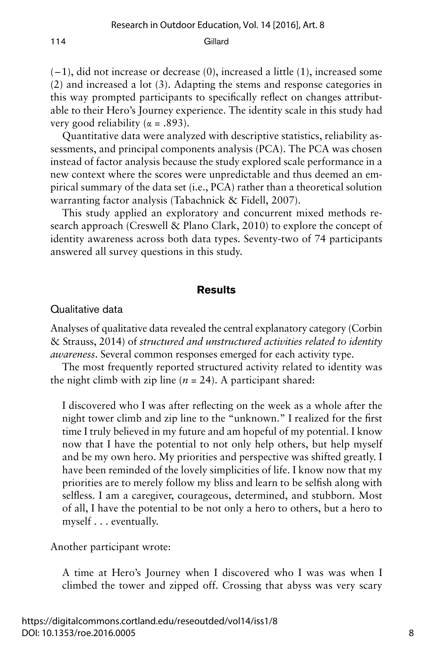(–1), did not increase or decrease (0), increased a little (1), increased some (2) and increased a lot (3). Adapting the stems and response categories in this way prompted participants to specifically reflect on changes attributable to their Hero's Journey experience. The identity scale in this study had very good reliability ( $\alpha = .893$ ).

Quantitative data were analyzed with descriptive statistics, reliability assessments, and principal components analysis (PCA). The PCA was chosen instead of factor analysis because the study explored scale performance in a new context where the scores were unpredictable and thus deemed an empirical summary of the data set (i.e., PCA) rather than a theoretical solution warranting factor analysis (Tabachnick & Fidell, 2007).

This study applied an exploratory and concurrent mixed methods research approach (Creswell & Plano Clark, 2010) to explore the concept of identity awareness across both data types. Seventy-two of 74 participants answered all survey questions in this study.

#### **Results**

#### Qualitative data

Analyses of qualitative data revealed the central explanatory category (Corbin & Strauss, 2014) of *structured and unstructured activities related to identity awareness*. Several common responses emerged for each activity type.

The most frequently reported structured activity related to identity was the night climb with zip line  $(n = 24)$ . A participant shared:

I discovered who I was after reflecting on the week as a whole after the night tower climb and zip line to the "unknown." I realized for the first time I truly believed in my future and am hopeful of my potential. I know now that I have the potential to not only help others, but help myself and be my own hero. My priorities and perspective was shifted greatly. I have been reminded of the lovely simplicities of life. I know now that my priorities are to merely follow my bliss and learn to be selfish along with selfless. I am a caregiver, courageous, determined, and stubborn. Most of all, I have the potential to be not only a hero to others, but a hero to myself . . . eventually.

Another participant wrote:

A time at Hero's Journey when I discovered who I was was when I climbed the tower and zipped off. Crossing that abyss was very scary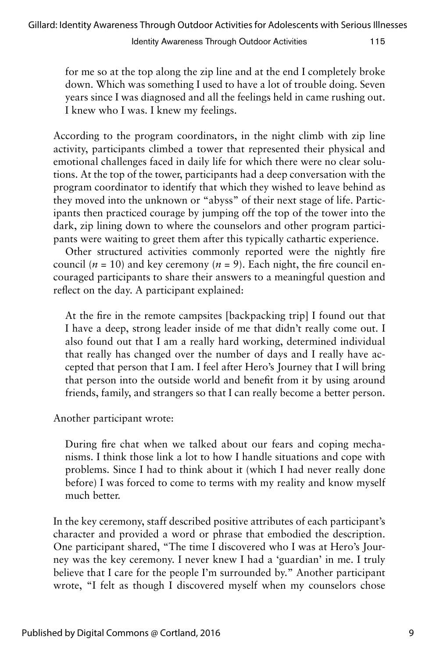for me so at the top along the zip line and at the end I completely broke down. Which was something I used to have a lot of trouble doing. Seven years since I was diagnosed and all the feelings held in came rushing out. I knew who I was. I knew my feelings.

According to the program coordinators, in the night climb with zip line activity, participants climbed a tower that represented their physical and emotional challenges faced in daily life for which there were no clear solutions. At the top of the tower, participants had a deep conversation with the program coordinator to identify that which they wished to leave behind as they moved into the unknown or "abyss" of their next stage of life. Participants then practiced courage by jumping off the top of the tower into the dark, zip lining down to where the counselors and other program participants were waiting to greet them after this typically cathartic experience.

Other structured activities commonly reported were the nightly fire council ( $n = 10$ ) and key ceremony ( $n = 9$ ). Each night, the fire council encouraged participants to share their answers to a meaningful question and reflect on the day. A participant explained:

At the fire in the remote campsites [backpacking trip] I found out that I have a deep, strong leader inside of me that didn't really come out. I also found out that I am a really hard working, determined individual that really has changed over the number of days and I really have accepted that person that I am. I feel after Hero's Journey that I will bring that person into the outside world and benefit from it by using around friends, family, and strangers so that I can really become a better person.

Another participant wrote:

During fire chat when we talked about our fears and coping mechanisms. I think those link a lot to how I handle situations and cope with problems. Since I had to think about it (which I had never really done before) I was forced to come to terms with my reality and know myself much better.

In the key ceremony, staff described positive attributes of each participant's character and provided a word or phrase that embodied the description. One participant shared, "The time I discovered who I was at Hero's Journey was the key ceremony. I never knew I had a 'guardian' in me. I truly believe that I care for the people I'm surrounded by." Another participant wrote, "I felt as though I discovered myself when my counselors chose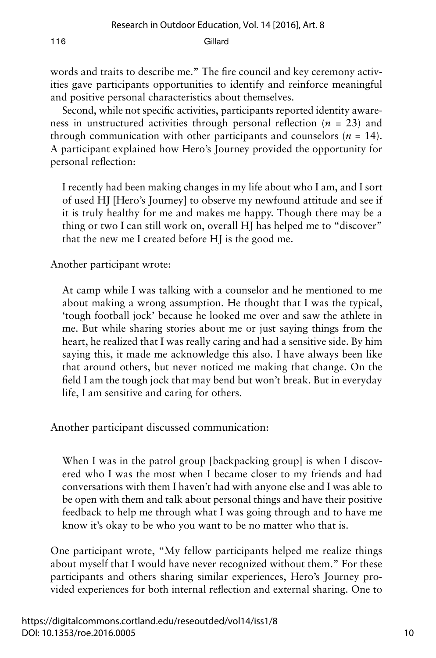words and traits to describe me." The fire council and key ceremony activities gave participants opportunities to identify and reinforce meaningful and positive personal characteristics about themselves.

Second, while not specific activities, participants reported identity awareness in unstructured activities through personal reflection (*n* = 23) and through communication with other participants and counselors  $(n = 14)$ . A participant explained how Hero's Journey provided the opportunity for personal reflection:

I recently had been making changes in my life about who I am, and I sort of used HJ [Hero's Journey] to observe my newfound attitude and see if it is truly healthy for me and makes me happy. Though there may be a thing or two I can still work on, overall HJ has helped me to "discover" that the new me I created before HJ is the good me.

Another participant wrote:

At camp while I was talking with a counselor and he mentioned to me about making a wrong assumption. He thought that I was the typical, 'tough football jock' because he looked me over and saw the athlete in me. But while sharing stories about me or just saying things from the heart, he realized that I was really caring and had a sensitive side. By him saying this, it made me acknowledge this also. I have always been like that around others, but never noticed me making that change. On the field I am the tough jock that may bend but won't break. But in everyday life, I am sensitive and caring for others.

Another participant discussed communication:

When I was in the patrol group [backpacking group] is when I discovered who I was the most when I became closer to my friends and had conversations with them I haven't had with anyone else and I was able to be open with them and talk about personal things and have their positive feedback to help me through what I was going through and to have me know it's okay to be who you want to be no matter who that is.

One participant wrote, "My fellow participants helped me realize things about myself that I would have never recognized without them." For these participants and others sharing similar experiences, Hero's Journey provided experiences for both internal reflection and external sharing. One to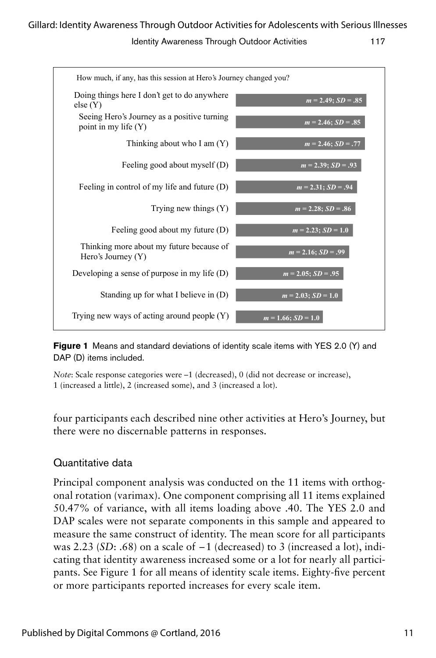

**Figure 1** Means and standard deviations of identity scale items with YES 2.0 (Y) and<br>RAR (R) it with the late of DAP (D) items included.

Note: Scale response categories were –1 (decreased), 0 (did not decrease or increase), 1 (increased a little), 2 (increased some), and 3 (increased a lot).

four participants each described nine other activities at Hero's Journey, but there were no discernable patterns in responses.

## Quantitative data

Principal component analysis was conducted on the 11 items with orthogonal rotation (varimax). One component comprising all 11 items explained 50.47% of variance, with all items loading above .40. The YES 2.0 and DAP scales were not separate components in this sample and appeared to measure the same construct of identity. The mean score for all participants was 2.23 (*SD*: .68) on a scale of –1 (decreased) to 3 (increased a lot), indicating that identity awareness increased some or a lot for nearly all participants. See Figure 1 for all means of identity scale items. Eighty-five percent or more participants reported increases for every scale item.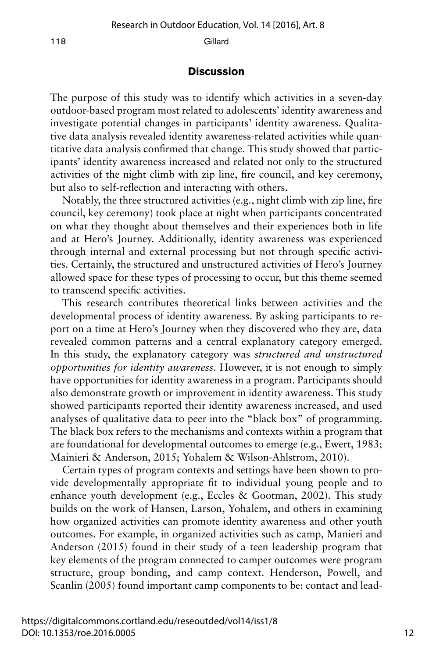#### **Discussion**

The purpose of this study was to identify which activities in a seven-day outdoor-based program most related to adolescents' identity awareness and investigate potential changes in participants' identity awareness. Qualitative data analysis revealed identity awareness-related activities while quantitative data analysis confirmed that change. This study showed that participants' identity awareness increased and related not only to the structured activities of the night climb with zip line, fire council, and key ceremony, but also to self-reflection and interacting with others.

Notably, the three structured activities (e.g., night climb with zip line, fire council, key ceremony) took place at night when participants concentrated on what they thought about themselves and their experiences both in life and at Hero's Journey. Additionally, identity awareness was experienced through internal and external processing but not through specific activities. Certainly, the structured and unstructured activities of Hero's Journey allowed space for these types of processing to occur, but this theme seemed to transcend specific activities.

This research contributes theoretical links between activities and the developmental process of identity awareness. By asking participants to report on a time at Hero's Journey when they discovered who they are, data revealed common patterns and a central explanatory category emerged. In this study, the explanatory category was *structured and unstructured opportunities for identity awareness*. However, it is not enough to simply have opportunities for identity awareness in a program. Participants should also demonstrate growth or improvement in identity awareness. This study showed participants reported their identity awareness increased, and used analyses of qualitative data to peer into the "black box" of programming. The black box refers to the mechanisms and contexts within a program that are foundational for developmental outcomes to emerge (e.g., Ewert, 1983; Mainieri & Anderson, 2015; Yohalem & Wilson-Ahlstrom, 2010).

Certain types of program contexts and settings have been shown to provide developmentally appropriate fit to individual young people and to enhance youth development (e.g., Eccles & Gootman, 2002). This study builds on the work of Hansen, Larson, Yohalem, and others in examining how organized activities can promote identity awareness and other youth outcomes. For example, in organized activities such as camp, Manieri and Anderson (2015) found in their study of a teen leadership program that key elements of the program connected to camper outcomes were program structure, group bonding, and camp context. Henderson, Powell, and Scanlin (2005) found important camp components to be: contact and lead-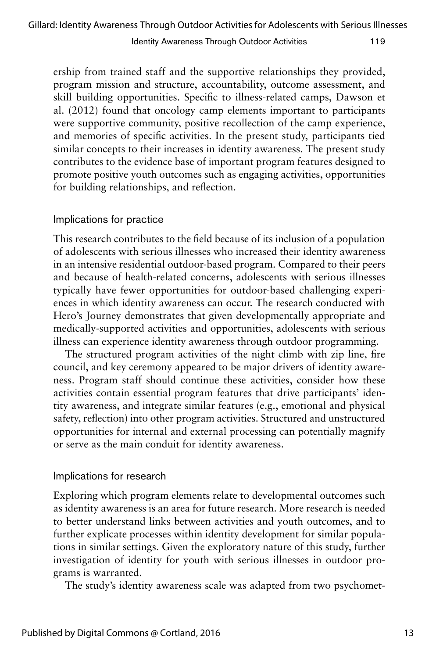ership from trained staff and the supportive relationships they provided, program mission and structure, accountability, outcome assessment, and skill building opportunities. Specific to illness-related camps, Dawson et al. (2012) found that oncology camp elements important to participants were supportive community, positive recollection of the camp experience, and memories of specific activities. In the present study, participants tied similar concepts to their increases in identity awareness. The present study contributes to the evidence base of important program features designed to promote positive youth outcomes such as engaging activities, opportunities for building relationships, and reflection.

## Implications for practice

This research contributes to the field because of its inclusion of a population of adolescents with serious illnesses who increased their identity awareness in an intensive residential outdoor-based program. Compared to their peers and because of health-related concerns, adolescents with serious illnesses typically have fewer opportunities for outdoor-based challenging experiences in which identity awareness can occur. The research conducted with Hero's Journey demonstrates that given developmentally appropriate and medically-supported activities and opportunities, adolescents with serious illness can experience identity awareness through outdoor programming.

The structured program activities of the night climb with zip line, fire council, and key ceremony appeared to be major drivers of identity awareness. Program staff should continue these activities, consider how these activities contain essential program features that drive participants' identity awareness, and integrate similar features (e.g., emotional and physical safety, reflection) into other program activities. Structured and unstructured opportunities for internal and external processing can potentially magnify or serve as the main conduit for identity awareness.

## Implications for research

Exploring which program elements relate to developmental outcomes such as identity awareness is an area for future research. More research is needed to better understand links between activities and youth outcomes, and to further explicate processes within identity development for similar populations in similar settings. Given the exploratory nature of this study, further investigation of identity for youth with serious illnesses in outdoor programs is warranted.

The study's identity awareness scale was adapted from two psychomet-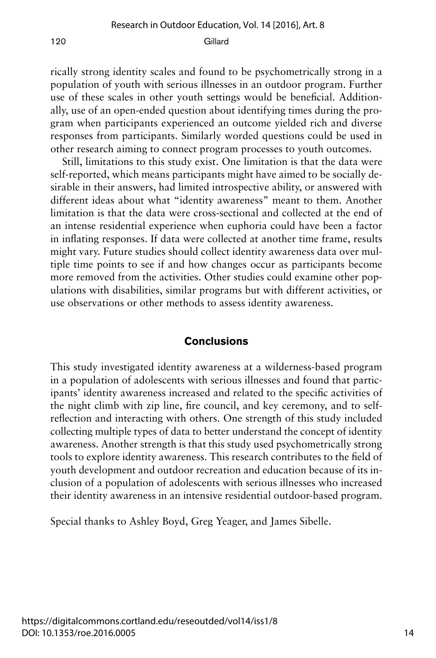rically strong identity scales and found to be psychometrically strong in a population of youth with serious illnesses in an outdoor program. Further use of these scales in other youth settings would be beneficial. Additionally, use of an open-ended question about identifying times during the program when participants experienced an outcome yielded rich and diverse responses from participants. Similarly worded questions could be used in other research aiming to connect program processes to youth outcomes.

Still, limitations to this study exist. One limitation is that the data were self-reported, which means participants might have aimed to be socially desirable in their answers, had limited introspective ability, or answered with different ideas about what "identity awareness" meant to them. Another limitation is that the data were cross-sectional and collected at the end of an intense residential experience when euphoria could have been a factor in inflating responses. If data were collected at another time frame, results might vary. Future studies should collect identity awareness data over multiple time points to see if and how changes occur as participants become more removed from the activities. Other studies could examine other populations with disabilities, similar programs but with different activities, or use observations or other methods to assess identity awareness.

#### **Conclusions**

This study investigated identity awareness at a wilderness-based program in a population of adolescents with serious illnesses and found that participants' identity awareness increased and related to the specific activities of the night climb with zip line, fire council, and key ceremony, and to selfreflection and interacting with others. One strength of this study included collecting multiple types of data to better understand the concept of identity awareness. Another strength is that this study used psychometrically strong tools to explore identity awareness. This research contributes to the field of youth development and outdoor recreation and education because of its inclusion of a population of adolescents with serious illnesses who increased their identity awareness in an intensive residential outdoor-based program.

Special thanks to Ashley Boyd, Greg Yeager, and James Sibelle.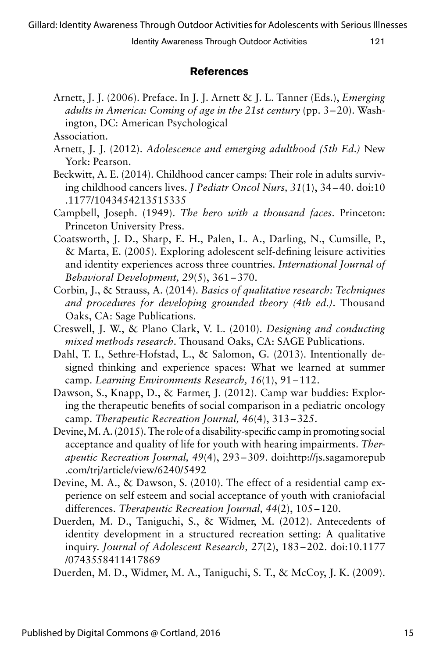## **References**

Arnett, J. J. (2006). Preface. In J. J. Arnett & J. L. Tanner (Eds.), *Emerging adults in America: Coming of age in the 21st century* (pp. 3–20). Washington, DC: American Psychological

- Arnett, J. J. (2012). *Adolescence and emerging adulthood (5th Ed.)* New York: Pearson.
- Beckwitt, A. E. (2014). Childhood cancer camps: Their role in adults surviving childhood cancers lives. *J Pediatr Oncol Nurs, 31*(1), 34–40. doi:10 .1177/1043454213515335
- Campbell, Joseph. (1949). *The hero with a thousand faces*. Princeton: Princeton University Press.
- Coatsworth, J. D., Sharp, E. H., Palen, L. A., Darling, N., Cumsille, P., & Marta, E. (2005). Exploring adolescent self-defining leisure activities and identity experiences across three countries. *International Journal of Behavioral Development, 29*(5), 361–370.
- Corbin, J., & Strauss, A. (2014). *Basics of qualitative research: Techniques and procedures for developing grounded theory (4th ed.)*. Thousand Oaks, CA: Sage Publications.
- Creswell, J. W., & Plano Clark, V. L. (2010). *Designing and conducting mixed methods research*. Thousand Oaks, CA: SAGE Publications.
- Dahl, T. I., Sethre-Hofstad, L., & Salomon, G. (2013). Intentionally designed thinking and experience spaces: What we learned at summer camp. *Learning Environments Research, 16*(1), 91–112.
- Dawson, S., Knapp, D., & Farmer, J. (2012). Camp war buddies: Exploring the therapeutic benefits of social comparison in a pediatric oncology camp. *Therapeutic Recreation Journal, 46*(4), 313–325.
- Devine, M. A. (2015). The role of a disability-specific camp in promoting social acceptance and quality of life for youth with hearing impairments. *Therapeutic Recreation Journal, 49*(4), 293–309. doi:http://js.sagamorepub .com/trj/article/view/6240/5492
- Devine, M. A., & Dawson, S. (2010). The effect of a residential camp experience on self esteem and social acceptance of youth with craniofacial differences. *Therapeutic Recreation Journal, 44*(2), 105–120.
- Duerden, M. D., Taniguchi, S., & Widmer, M. (2012). Antecedents of identity development in a structured recreation setting: A qualitative inquiry. *Journal of Adolescent Research, 27*(2), 183–202. doi:10.1177 /0743558411417869

Duerden, M. D., Widmer, M. A., Taniguchi, S. T., & McCoy, J. K. (2009).

Association.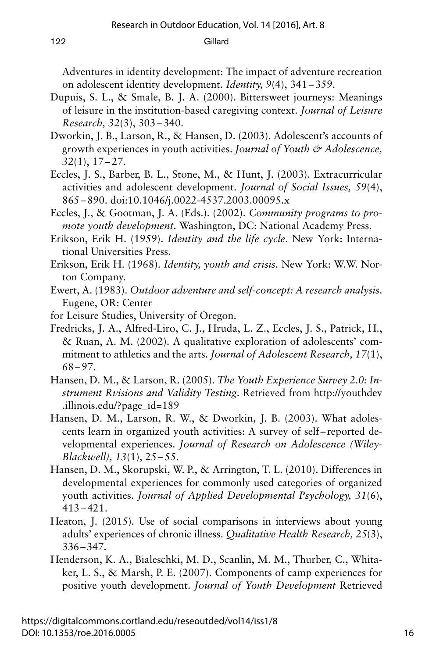Adventures in identity development: The impact of adventure recreation on adolescent identity development. *Identity, 9*(4), 341–359.

- Dupuis, S. L., & Smale, B. J. A. (2000). Bittersweet journeys: Meanings of leisure in the institution-based caregiving context. *Journal of Leisure Research, 32*(3), 303–340.
- Dworkin, J. B., Larson, R., & Hansen, D. (2003). Adolescent's accounts of growth experiences in youth activities. *Journal of Youth & Adolescence, 32*(1), 17–27.
- Eccles, J. S., Barber, B. L., Stone, M., & Hunt, J. (2003). Extracurricular activities and adolescent development. *Journal of Social Issues, 59*(4), 865–890. doi:10.1046/j.0022-4537.2003.00095.x
- Eccles, J., & Gootman, J. A. (Eds.). (2002). *Community programs to promote youth development*. Washington, DC: National Academy Press.
- Erikson, Erik H. (1959). *Identity and the life cycle*. New York: International Universities Press.
- Erikson, Erik H. (1968). *Identity, youth and crisis*. New York: W.W. Norton Company.
- Ewert, A. (1983). *Outdoor adventure and self-concept: A research analysis*. Eugene, OR: Center
- for Leisure Studies, University of Oregon.
- Fredricks, J. A., Alfred-Liro, C. J., Hruda, L. Z., Eccles, J. S., Patrick, H., & Ruan, A. M. (2002). A qualitative exploration of adolescents' commitment to athletics and the arts. *Journal of Adolescent Research, 17*(1), 68–97.
- Hansen, D. M., & Larson, R. (2005). *The Youth Experience Survey 2.0: Instrument Rvisions and Validity Testing*. Retrieved from http://youthdev .illinois.edu/?page\_id=189
- Hansen, D. M., Larson, R. W., & Dworkin, J. B. (2003). What adolescents learn in organized youth activities: A survey of self– reported developmental experiences. *Journal of Research on Adolescence (Wiley-Blackwell), 13*(1), 25–55.
- Hansen, D. M., Skorupski, W. P., & Arrington, T. L. (2010). Differences in developmental experiences for commonly used categories of organized youth activities. *Journal of Applied Developmental Psychology, 31*(6), 413–421.
- Heaton, J. (2015). Use of social comparisons in interviews about young adults' experiences of chronic illness. *Qualitative Health Research, 25*(3), 336–347.
- Henderson, K. A., Bialeschki, M. D., Scanlin, M. M., Thurber, C., Whitaker, L. S., & Marsh, P. E. (2007). Components of camp experiences for positive youth development. *Journal of Youth Development* Retrieved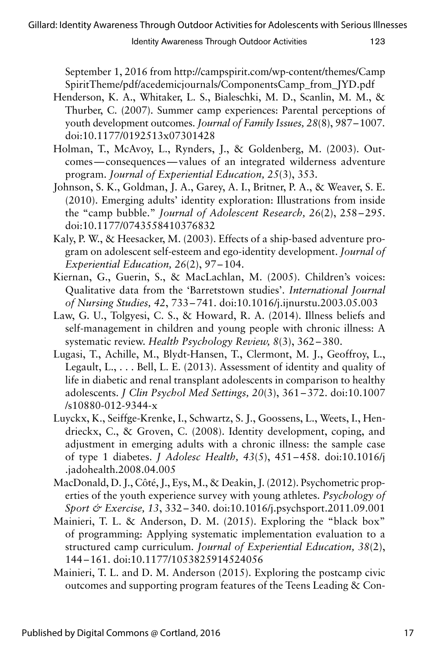September 1, 2016 from http://campspirit.com/wp-content/themes/Camp SpiritTheme/pdf/acedemicjournals/ComponentsCamp\_from\_JYD.pdf

- Henderson, K. A., Whitaker, L. S., Bialeschki, M. D., Scanlin, M. M., & Thurber, C. (2007). Summer camp experiences: Parental perceptions of youth development outcomes. *Journal of Family Issues, 28*(8), 987–1007. doi:10.1177/0192513x07301428
- Holman, T., McAvoy, L., Rynders, J., & Goldenberg, M. (2003). Outcomes—consequences—values of an integrated wilderness adventure program. *Journal of Experiential Education, 25*(3), 353.
- Johnson, S. K., Goldman, J. A., Garey, A. I., Britner, P. A., & Weaver, S. E. (2010). Emerging adults' identity exploration: Illustrations from inside the "camp bubble." *Journal of Adolescent Research, 26*(2), 258–295. doi:10.1177/0743558410376832
- Kaly, P. W., & Heesacker, M. (2003). Effects of a ship-based adventure program on adolescent self-esteem and ego-identity development. *Journal of Experiential Education, 26*(2), 97–104.
- Kiernan, G., Guerin, S., & MacLachlan, M. (2005). Children's voices: Qualitative data from the 'Barretstown studies'. *International Journal of Nursing Studies, 42*, 733–741. doi:10.1016/j.ijnurstu.2003.05.003
- Law, G. U., Tolgyesi, C. S., & Howard, R. A. (2014). Illness beliefs and self-management in children and young people with chronic illness: A systematic review. *Health Psychology Review, 8*(3), 362–380.
- Lugasi, T., Achille, M., Blydt-Hansen, T., Clermont, M. J., Geoffroy, L., Legault,  $L_{1}$ ,  $\ldots$  Bell, L. E. (2013). Assessment of identity and quality of life in diabetic and renal transplant adolescents in comparison to healthy adolescents. *J Clin Psychol Med Settings, 20*(3), 361–372. doi:10.1007 /s10880-012-9344-x
- Luyckx, K., Seiffge-Krenke, I., Schwartz, S. J., Goossens, L., Weets, I., Hendrieckx, C., & Groven, C. (2008). Identity development, coping, and adjustment in emerging adults with a chronic illness: the sample case of type 1 diabetes. *J Adolesc Health, 43*(5), 451–458. doi:10.1016/j .jadohealth.2008.04.005
- MacDonald, D. J., Côté, J., Eys, M., & Deakin, J. (2012). Psychometric properties of the youth experience survey with young athletes. *Psychology of Sport & Exercise, 13*, 332–340. doi:10.1016/j.psychsport.2011.09.001
- Mainieri, T. L. & Anderson, D. M. (2015). Exploring the "black box" of programming: Applying systematic implementation evaluation to a structured camp curriculum. *Journal of Experiential Education, 38*(2), 144–161. doi:10.1177/1053825914524056
- Mainieri, T. L. and D. M. Anderson (2015). Exploring the postcamp civic outcomes and supporting program features of the Teens Leading & Con-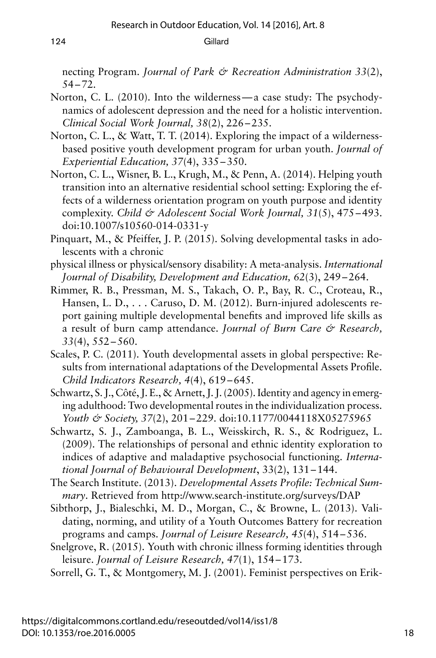necting Program. *Journal of Park & Recreation Administration 33*(2), 54–72.

- Norton, C. L. (2010). Into the wilderness—a case study: The psychodynamics of adolescent depression and the need for a holistic intervention. *Clinical Social Work Journal, 38*(2), 226–235.
- Norton, C. L., & Watt, T. T. (2014). Exploring the impact of a wildernessbased positive youth development program for urban youth. *Journal of Experiential Education, 37*(4), 335–350.
- Norton, C. L., Wisner, B. L., Krugh, M., & Penn, A. (2014). Helping youth transition into an alternative residential school setting: Exploring the effects of a wilderness orientation program on youth purpose and identity complexity. *Child & Adolescent Social Work Journal, 31*(5), 475–493. doi:10.1007/s10560-014-0331-y
- Pinquart, M., & Pfeiffer, J. P. (2015). Solving developmental tasks in adolescents with a chronic
- physical illness or physical/sensory disability: A meta-analysis. *International Journal of Disability, Development and Education, 62*(3), 249–264.
- Rimmer, R. B., Pressman, M. S., Takach, O. P., Bay, R. C., Croteau, R., Hansen, L. D., . . . Caruso, D. M. (2012). Burn-injured adolescents report gaining multiple developmental benefits and improved life skills as a result of burn camp attendance. *Journal of Burn Care & Research, 33*(4), 552–560.
- Scales, P. C. (2011). Youth developmental assets in global perspective: Results from international adaptations of the Developmental Assets Profile. *Child Indicators Research, 4*(4), 619–645.
- Schwartz, S. J., Côté, J. E., & Arnett, J. J. (2005). Identity and agency in emerging adulthood: Two developmental routes in the individualization process. *Youth & Society, 37*(2), 201–229. doi:10.1177/0044118X05275965
- Schwartz, S. J., Zamboanga, B. L., Weisskirch, R. S., & Rodriguez, L. (2009). The relationships of personal and ethnic identity exploration to indices of adaptive and maladaptive psychosocial functioning. *International Journal of Behavioural Development*, 33(2), 131–144.
- The Search Institute. (2013). *Developmental Assets Profile: Technical Summary*. Retrieved from http://www.search-institute.org/surveys/DAP
- Sibthorp, J., Bialeschki, M. D., Morgan, C., & Browne, L. (2013). Validating, norming, and utility of a Youth Outcomes Battery for recreation programs and camps. *Journal of Leisure Research, 45*(4), 514–536.
- Snelgrove, R. (2015). Youth with chronic illness forming identities through leisure. *Journal of Leisure Research, 47*(1), 154–173.

Sorrell, G. T., & Montgomery, M. J. (2001). Feminist perspectives on Erik-